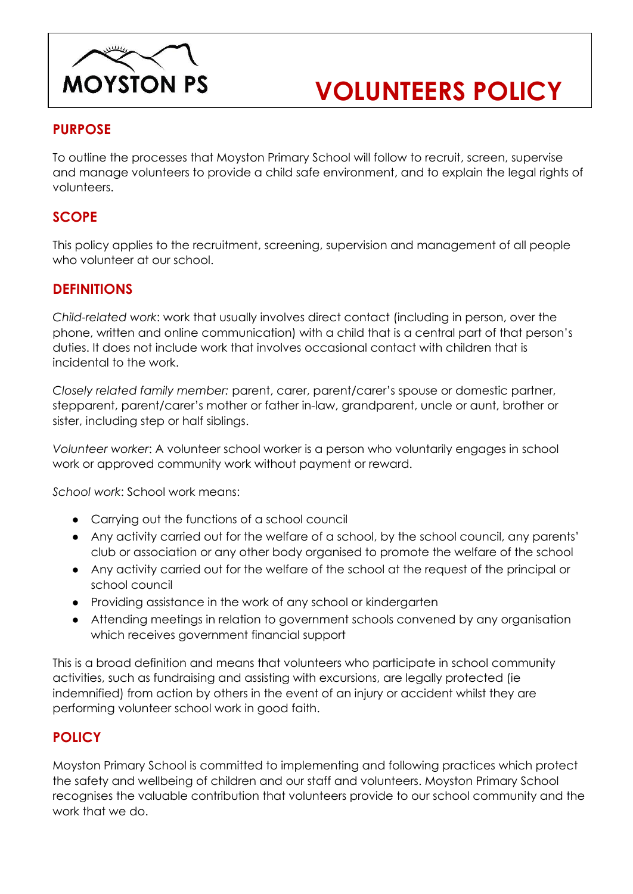

# **VOLUNTEERS POLICY**

# **PURPOSE**

To outline the processes that Moyston Primary School will follow to recruit, screen, supervise and manage volunteers to provide a child safe environment, and to explain the legal rights of volunteers.

# **SCOPE**

This policy applies to the recruitment, screening, supervision and management of all people who volunteer at our school.

## **DEFINITIONS**

*Child-related work*: work that usually involves direct contact (including in person, over the phone, written and online communication) with a child that is a central part of that person's duties. It does not include work that involves occasional contact with children that is incidental to the work.

*Closely related family member:* parent, carer, parent/carer's spouse or domestic partner, stepparent, parent/carer's mother or father in-law, grandparent, uncle or aunt, brother or sister, including step or half siblings.

*Volunteer worker*: A volunteer school worker is a person who voluntarily engages in school work or approved community work without payment or reward.

*School work*: School work means:

- Carrying out the functions of a school council
- Any activity carried out for the welfare of a school, by the school council, any parents' club or association or any other body organised to promote the welfare of the school
- Any activity carried out for the welfare of the school at the request of the principal or school council
- Providing assistance in the work of any school or kindergarten
- Attending meetings in relation to government schools convened by any organisation which receives government financial support

This is a broad definition and means that volunteers who participate in school community activities, such as fundraising and assisting with excursions, are legally protected (ie indemnified) from action by others in the event of an injury or accident whilst they are performing volunteer school work in good faith.

# **POLICY**

Moyston Primary School is committed to implementing and following practices which protect the safety and wellbeing of children and our staff and volunteers. Moyston Primary School recognises the valuable contribution that volunteers provide to our school community and the work that we do.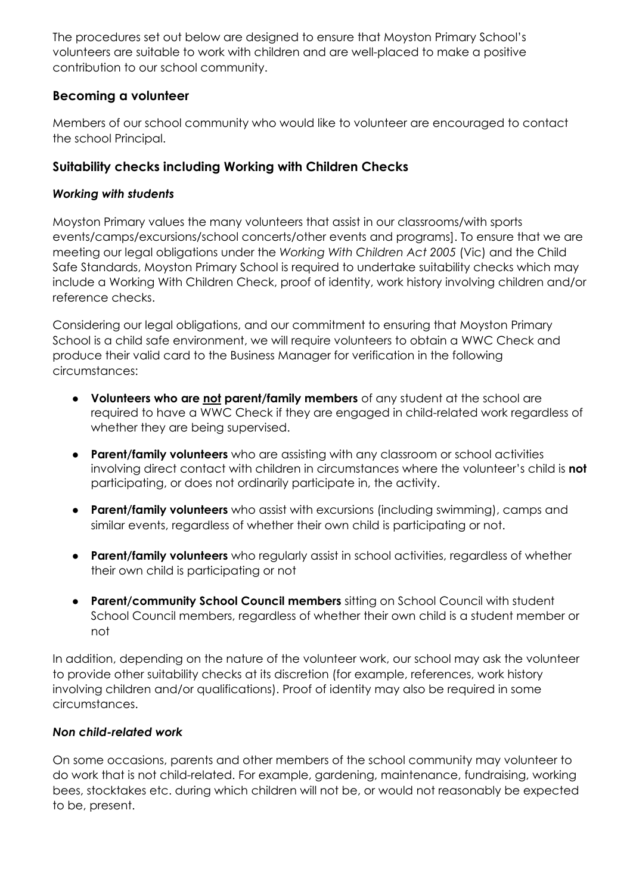The procedures set out below are designed to ensure that Moyston Primary School's volunteers are suitable to work with children and are well-placed to make a positive contribution to our school community.

## **Becoming a volunteer**

Members of our school community who would like to volunteer are encouraged to contact the school Principal.

## **Suitability checks including Working with Children Checks**

#### *Working with students*

Moyston Primary values the many volunteers that assist in our classrooms/with sports events/camps/excursions/school concerts/other events and programs]. To ensure that we are meeting our legal obligations under the *Working With Children Act 2005* (Vic) and the Child Safe Standards, Moyston Primary School is required to undertake suitability checks which may include a Working With Children Check, proof of identity, work history involving children and/or reference checks.

Considering our legal obligations, and our commitment to ensuring that Moyston Primary School is a child safe environment, we will require volunteers to obtain a WWC Check and produce their valid card to the Business Manager for verification in the following circumstances:

- **Volunteers who are not parent/family members** of any student at the school are required to have a WWC Check if they are engaged in child-related work regardless of whether they are being supervised.
- **Parent/family volunteers** who are assisting with any classroom or school activities involving direct contact with children in circumstances where the volunteer's child is **not** participating, or does not ordinarily participate in, the activity.
- **Parent/family volunteers** who assist with excursions (including swimming), camps and similar events, regardless of whether their own child is participating or not.
- **Parent/family volunteers** who regularly assist in school activities, regardless of whether their own child is participating or not
- **Parent/community School Council members** sitting on School Council with student School Council members, regardless of whether their own child is a student member or not

In addition, depending on the nature of the volunteer work, our school may ask the volunteer to provide other suitability checks at its discretion (for example, references, work history involving children and/or qualifications). Proof of identity may also be required in some circumstances.

#### *Non child-related work*

On some occasions, parents and other members of the school community may volunteer to do work that is not child-related. For example, gardening, maintenance, fundraising, working bees, stocktakes etc. during which children will not be, or would not reasonably be expected to be, present.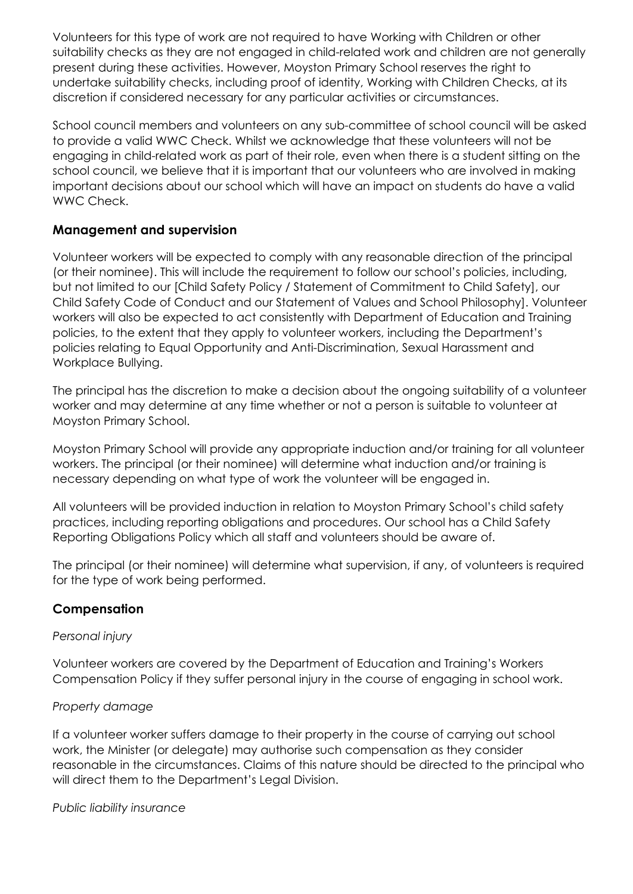Volunteers for this type of work are not required to have Working with Children or other suitability checks as they are not engaged in child-related work and children are not generally present during these activities. However, Moyston Primary School reserves the right to undertake suitability checks, including proof of identity, Working with Children Checks, at its discretion if considered necessary for any particular activities or circumstances.

School council members and volunteers on any sub-committee of school council will be asked to provide a valid WWC Check. Whilst we acknowledge that these volunteers will not be engaging in child-related work as part of their role, even when there is a student sitting on the school council, we believe that it is important that our volunteers who are involved in making important decisions about our school which will have an impact on students do have a valid WWC Check.

#### **Management and supervision**

Volunteer workers will be expected to comply with any reasonable direction of the principal (or their nominee). This will include the requirement to follow our school's policies, including, but not limited to our [Child Safety Policy / Statement of Commitment to Child Safety], our Child Safety Code of Conduct and our Statement of Values and School Philosophy]. Volunteer workers will also be expected to act consistently with Department of Education and Training policies, to the extent that they apply to volunteer workers, including the Department's policies relating to Equal Opportunity and Anti-Discrimination, Sexual Harassment and Workplace Bullying.

The principal has the discretion to make a decision about the ongoing suitability of a volunteer worker and may determine at any time whether or not a person is suitable to volunteer at Moyston Primary School.

Moyston Primary School will provide any appropriate induction and/or training for all volunteer workers. The principal (or their nominee) will determine what induction and/or training is necessary depending on what type of work the volunteer will be engaged in.

All volunteers will be provided induction in relation to Moyston Primary School's child safety practices, including reporting obligations and procedures. Our school has a Child Safety Reporting Obligations Policy which all staff and volunteers should be aware of.

The principal (or their nominee) will determine what supervision, if any, of volunteers is required for the type of work being performed.

#### **Compensation**

#### *Personal injury*

Volunteer workers are covered by the Department of Education and Training's Workers Compensation Policy if they suffer personal injury in the course of engaging in school work.

#### *Property damage*

If a volunteer worker suffers damage to their property in the course of carrying out school work, the Minister (or delegate) may authorise such compensation as they consider reasonable in the circumstances. Claims of this nature should be directed to the principal who will direct them to the Department's Legal Division.

#### *Public liability insurance*